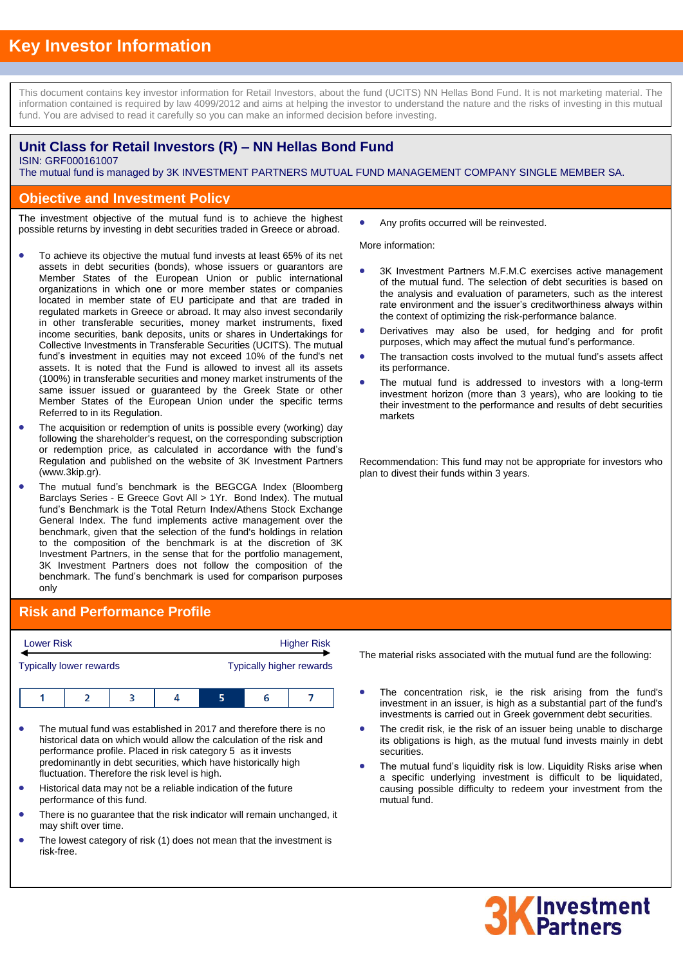This document contains key investor information for Retail Investors, about the fund (UCITS) NN Hellas Bond Fund. It is not marketing material. The information contained is required by law 4099/2012 and aims at helping the investor to understand the nature and the risks of investing in this mutual fund. You are advised to read it carefully so you can make an informed decision before investing.

## **Unit Class for Retail Investors (R) – NN Hellas Bond Fund**

ISIN: GRF000161007

The mutual fund is managed by 3K INVESTMENT PARTNERS MUTUAL FUND MANAGEMENT COMPANY SINGLE MEMBER SA. .

### **Objective and Investment Policy**

The investment objective of the mutual fund is to achieve the highest possible returns by investing in debt securities traded in Greece or abroad.

- To achieve its objective the mutual fund invests at least 65% of its net assets in debt securities (bonds), whose issuers or guarantors are Member States of the European Union or public international organizations in which one or more member states or companies located in member state of EU participate and that are traded in regulated markets in Greece or abroad. It may also invest secondarily in other transferable securities, money market instruments, fixed income securities, bank deposits, units or shares in Undertakings for Collective Investments in Transferable Securities (UCITS). The mutual fund's investment in equities may not exceed 10% of the fund's net assets. It is noted that the Fund is allowed to invest all its assets (100%) in transferable securities and money market instruments of the same issuer issued or guaranteed by the Greek State or other Member States of the European Union under the specific terms Referred to in its Regulation.
- The acquisition or redemption of units is possible every (working) day following the shareholder's request, on the corresponding subscription or redemption price, as calculated in accordance with the fund's Regulation and published on the website of 3K Investment Partners (www.3kip.gr).
- The mutual fund's benchmark is the BEGCGA Index (Bloomberg Barclays Series - E Greece Govt All > 1Yr. Bond Index). The mutual fund's Benchmark is the Total Return Index/Athens Stock Exchange General Index. The fund implements active management over the benchmark, given that the selection of the fund's holdings in relation to the composition of the benchmark is at the discretion of 3K Investment Partners, in the sense that for the portfolio management, 3K Investment Partners does not follow the composition of the benchmark. The fund's benchmark is used for comparison purposes only

# **Risk and Performance Profile**

| <b>Lower Risk</b> |                                |  | <b>Higher Risk</b> |  |  |                                 |
|-------------------|--------------------------------|--|--------------------|--|--|---------------------------------|
|                   | <b>Typically lower rewards</b> |  |                    |  |  | <b>Typically higher rewards</b> |
|                   |                                |  |                    |  |  |                                 |

- The mutual fund was established in 2017 and therefore there is no historical data on which would allow the calculation of the risk and performance profile. Placed in risk category 5 as it invests predominantly in debt securities, which have historically high fluctuation. Therefore the risk level is high.
- Historical data may not be a reliable indication of the future performance of this fund.
- There is no guarantee that the risk indicator will remain unchanged, it may shift over time.
- The lowest category of risk (1) does not mean that the investment is risk-free.

Any profits occurred will be reinvested.

More information:

- 3K Investment Partners M.F.M.C exercises active management of the mutual fund. The selection of debt securities is based on the analysis and evaluation of parameters, such as the interest rate environment and the issuer's creditworthiness always within the context of optimizing the risk-performance balance.
- Derivatives may also be used, for hedging and for profit purposes, which may affect the mutual fund's performance.
- The transaction costs involved to the mutual fund's assets affect its performance.
- The mutual fund is addressed to investors with a long-term investment horizon (more than 3 years), who are looking to tie their investment to the performance and results of debt securities markets

Recommendation: This fund may not be appropriate for investors who plan to divest their funds within 3 years.

The material risks associated with the mutual fund are the following:

- The concentration risk, ie the risk arising from the fund's investment in an issuer, is high as a substantial part of the fund's investments is carried out in Greek government debt securities.
- The credit risk, ie the risk of an issuer being unable to discharge its obligations is high, as the mutual fund invests mainly in debt securities.
- The mutual fund's liquidity risk is low. Liquidity Risks arise when a specific underlying investment is difficult to be liquidated, causing possible difficulty to redeem your investment from the mutual fund.